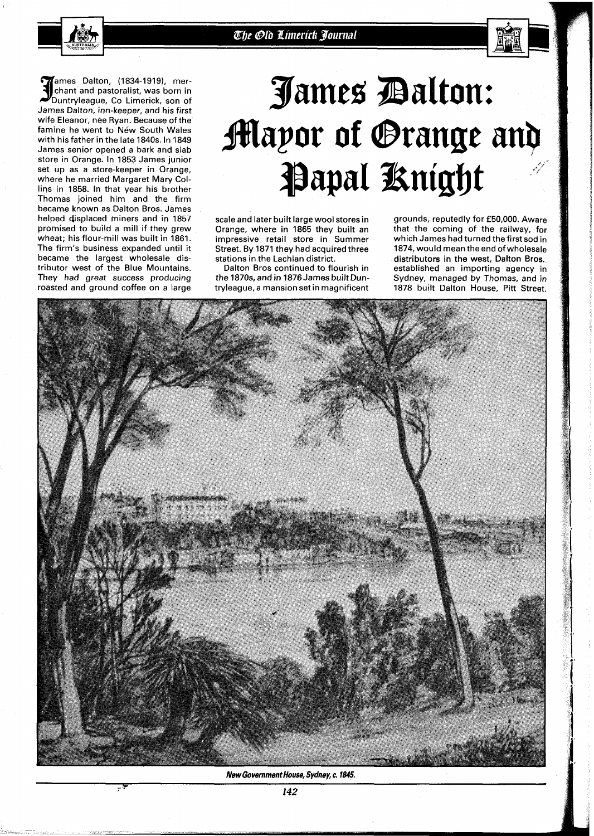

**ames Dalton, (1834-1919), mer-** 3 chant and pastoralist, was born in Duntryleague, CO Limerick, son of James Dalton, inn-keeper, and his first wife Eleanor, nee Ryan. Because of the famine he went to New South Wales with his father in the late **1840s.** In **1849**  James senior opened a bark and slab store in Orange. In **1853** James junior set up as a store-keeper in Orange, where he married Margaret Mary Collins in **1858.** In that year his brother Thomas joined him and the firm became known as Dalton Bros. James helped displaced miners and in **1857**  promised to build a mill if they grew wheat; his flour-mill was built in **1861.**  The firm's business expanded until it became the largest wholesale distributor west of the Blue Mountains. They had great success producing roasted and ground coffee on a large

 $\mu$  .

## James Dalton: *flapor of @range an?*  **Papal Knight**

scale and later built large wool stores in Orange, where in **1865** they built an impressive retail store in Summer Street. By **1871** they had acquired three stations in the Lachlan district.

Dalton Bros continued to flourish in the **1870s,** and in **I876** James built Duntryleague, a mansion set in magnificent

grounds, reputedly for **£50,000.** Aware that the coming of the railway, for which James had turned the first sod in **1874,** would mean the end ofwholesale distributors in the west, Dalton Bros. established an importing agency in Sydney, managed by Thomas, and in **1878** built Dalton House, Pitt Street.



**New Government House, Sydney, c. 1845.**